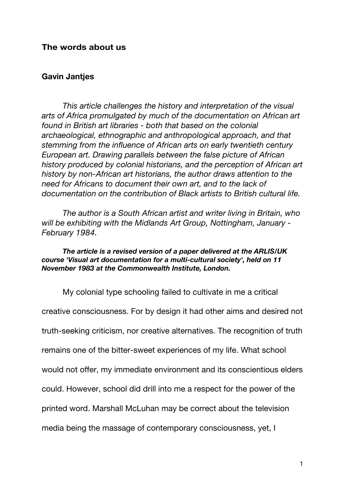## **The words about us**

## **Gavin Jantjes**

*This article challenges the history and interpretation of the visual arts of Africa promulgated by much of the documentation on African art found in British art libraries - both that based on the colonial archaeological, ethnographic and anthropological approach, and that stemming from the influence of African arts on early twentieth century European art. Drawing parallels between the false picture of African history produced by colonial historians, and the perception of African art history by non-African art historians, the author draws attention to the need for Africans to document their own art, and to the lack of documentation on the contribution of Black artists to British cultural life.* 

*The author is a South African artist and writer living in Britain, who will be exhibiting with the Midlands Art Group, Nottingham, January - February 1984.* 

*The article is a revised version of a paper delivered at the ARLIS/UK course 'Visual art documentation for a multi-cultural society', held on 11 November 1983 at the Commonwealth Institute, London.* 

My colonial type schooling failed to cultivate in me a critical creative consciousness. For by design it had other aims and desired not truth-seeking criticism, nor creative alternatives. The recognition of truth remains one of the bitter-sweet experiences of my life. What school would not offer, my immediate environment and its conscientious elders could. However, school did drill into me a respect for the power of the printed word. Marshall McLuhan may be correct about the television media being the massage of contemporary consciousness, yet, I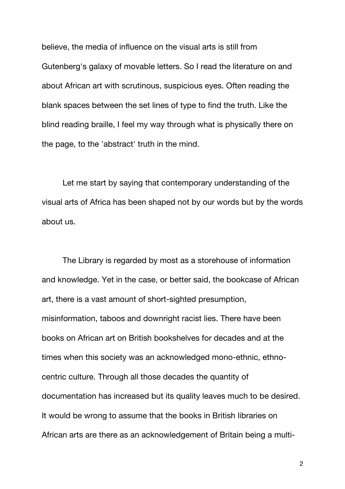believe, the media of influence on the visual arts is still from Gutenberg's galaxy of movable letters. So I read the literature on and about African art with scrutinous, suspicious eyes. Often reading the blank spaces between the set lines of type to find the truth. Like the blind reading braille, I feel my way through what is physically there on the page, to the 'abstract' truth in the mind.

Let me start by saying that contemporary understanding of the visual arts of Africa has been shaped not by our words but by the words about us.

The Library is regarded by most as a storehouse of information and knowledge. Yet in the case, or better said, the bookcase of African art, there is a vast amount of short-sighted presumption, misinformation, taboos and downright racist lies. There have been books on African art on British bookshelves for decades and at the times when this society was an acknowledged mono-ethnic, ethnocentric culture. Through all those decades the quantity of documentation has increased but its quality leaves much to be desired. It would be wrong to assume that the books in British libraries on African arts are there as an acknowledgement of Britain being a multi-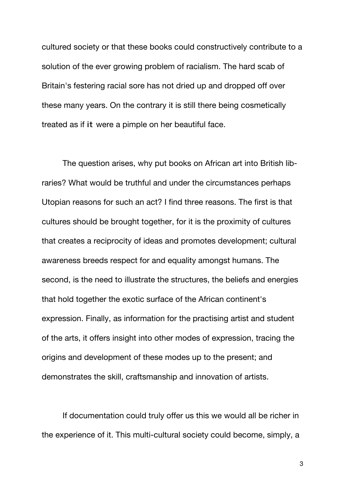cultured society or that these books could constructively contribute to a solution of the ever growing problem of racialism. The hard scab of Britain's festering racial sore has not dried up and dropped off over these many years. On the contrary it is still there being cosmetically treated as if it were a pimple on her beautiful face.

The question arises, why put books on African art into British libraries? What would be truthful and under the circumstances perhaps Utopian reasons for such an act? I find three reasons. The first is that cultures should be brought together, for it is the proximity of cultures that creates a reciprocity of ideas and promotes development; cultural awareness breeds respect for and equality amongst humans. The second, is the need to illustrate the structures, the beliefs and energies that hold together the exotic surface of the African continent's expression. Finally, as information for the practising artist and student of the arts, it offers insight into other modes of expression, tracing the origins and development of these modes up to the present; and demonstrates the skill, craftsmanship and innovation of artists.

If documentation could truly offer us this we would all be richer in the experience of it. This multi-cultural society could become, simply, a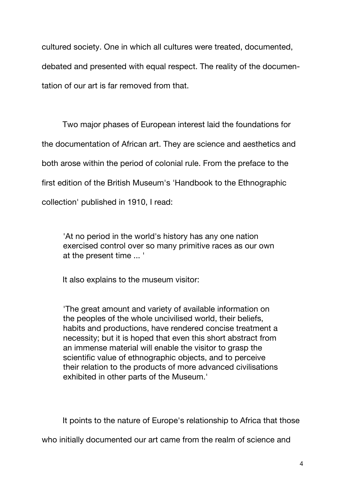cultured society. One in which all cultures were treated, documented, debated and presented with equal respect. The reality of the documentation of our art is far removed from that.

Two major phases of European interest laid the foundations for the documentation of African art. They are science and aesthetics and both arose within the period of colonial rule. From the preface to the first edition of the British Museum's 'Handbook to the Ethnographic collection' published in 1910, I read:

'At no period in the world's history has any one nation exercised control over so many primitive races as our own at the present time ... '

It also explains to the museum visitor:

'The great amount and variety of available information on the peoples of the whole uncivilised world, their beliefs, habits and productions, have rendered concise treatment a necessity; but it is hoped that even this short abstract from an immense material will enable the visitor to grasp the scientific value of ethnographic objects, and to perceive their relation to the products of more advanced civilisations exhibited in other parts of the Museum.'

It points to the nature of Europe's relationship to Africa that those

who initially documented our art came from the realm of science and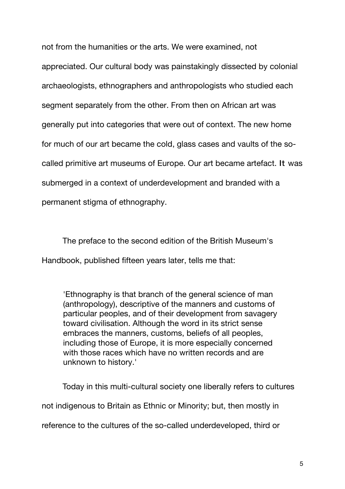not from the humanities or the arts. We were examined, not appreciated. Our cultural body was painstakingly dissected by colonial archaeologists, ethnographers and anthropologists who studied each segment separately from the other. From then on African art was generally put into categories that were out of context. The new home for much of our art became the cold, glass cases and vaults of the socalled primitive art museums of Europe. Our art became artefact. It was submerged in a context of underdevelopment and branded with a permanent stigma of ethnography.

The preface to the second edition of the British Museum's Handbook, published fifteen years later, tells me that:

'Ethnography is that branch of the general science of man (anthropology), descriptive of the manners and customs of particular peoples, and of their development from savagery toward civilisation. Although the word in its strict sense embraces the manners, customs, beliefs of all peoples, including those of Europe, it is more especially concerned with those races which have no written records and are unknown to history.'

Today in this multi-cultural society one liberally refers to cultures not indigenous to Britain as Ethnic or Minority; but, then mostly in reference to the cultures of the so-called underdeveloped, third or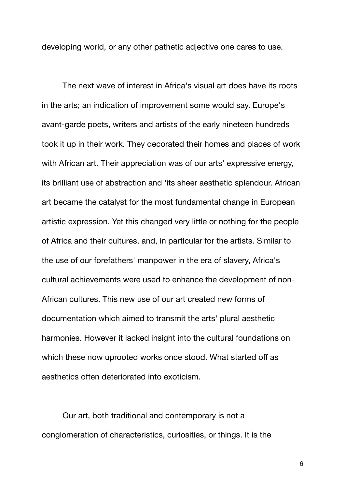developing world, or any other pathetic adjective one cares to use.

The next wave of interest in Africa's visual art does have its roots in the arts; an indication of improvement some would say. Europe's avant-garde poets, writers and artists of the early nineteen hundreds took it up in their work. They decorated their homes and places of work with African art. Their appreciation was of our arts' expressive energy, its brilliant use of abstraction and 'its sheer aesthetic splendour. African art became the catalyst for the most fundamental change in European artistic expression. Yet this changed very little or nothing for the people of Africa and their cultures, and, in particular for the artists. Similar to the use of our forefathers' manpower in the era of slavery, Africa's cultural achievements were used to enhance the development of non-African cultures. This new use of our art created new forms of documentation which aimed to transmit the arts' plural aesthetic harmonies. However it lacked insight into the cultural foundations on which these now uprooted works once stood. What started off as aesthetics often deteriorated into exoticism.

Our art, both traditional and contemporary is not a conglomeration of characteristics, curiosities, or things. It is the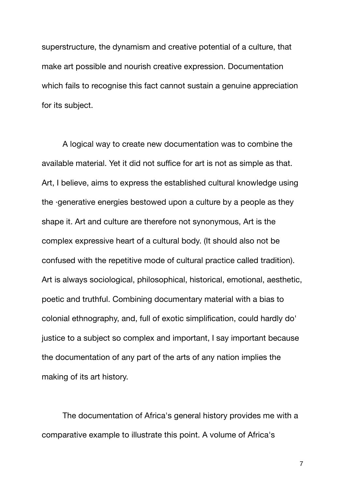superstructure, the dynamism and creative potential of a culture, that make art possible and nourish creative expression. Documentation which fails to recognise this fact cannot sustain a genuine appreciation for its subject.

A logical way to create new documentation was to combine the available material. Yet it did not suffice for art is not as simple as that. Art, I believe, aims to express the established cultural knowledge using the ·generative energies bestowed upon a culture by a people as they shape it. Art and culture are therefore not synonymous, Art is the complex expressive heart of a cultural body. (It should also not be confused with the repetitive mode of cultural practice called tradition). Art is always sociological, philosophical, historical, emotional, aesthetic, poetic and truthful. Combining documentary material with a bias to colonial ethnography, and, full of exotic simplification, could hardly do' justice to a subject so complex and important, I say important because the documentation of any part of the arts of any nation implies the making of its art history.

The documentation of Africa's general history provides me with a comparative example to illustrate this point. A volume of Africa's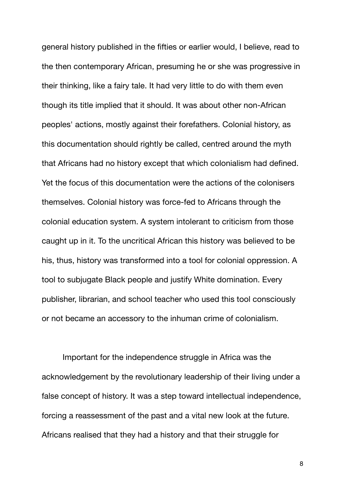general history published in the fifties or earlier would, I believe, read to the then contemporary African, presuming he or she was progressive in their thinking, like a fairy tale. It had very little to do with them even though its title implied that it should. It was about other non-African peoples' actions, mostly against their forefathers. Colonial history, as this documentation should rightly be called, centred around the myth that Africans had no history except that which colonialism had defined. Yet the focus of this documentation were the actions of the colonisers themselves. Colonial history was force-fed to Africans through the colonial education system. A system intolerant to criticism from those caught up in it. To the uncritical African this history was believed to be his, thus, history was transformed into a tool for colonial oppression. A tool to subjugate Black people and justify White domination. Every publisher, librarian, and school teacher who used this tool consciously or not became an accessory to the inhuman crime of colonialism.

Important for the independence struggle in Africa was the acknowledgement by the revolutionary leadership of their living under a false concept of history. It was a step toward intellectual independence, forcing a reassessment of the past and a vital new look at the future. Africans realised that they had a history and that their struggle for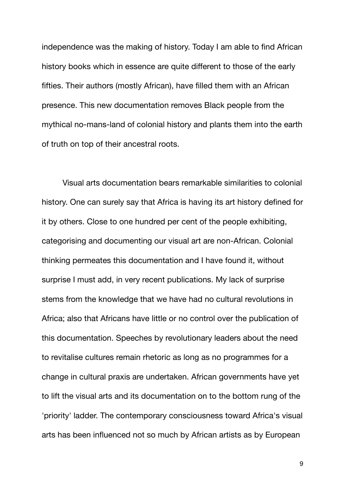independence was the making of history. Today I am able to find African history books which in essence are quite different to those of the early fifties. Their authors (mostly African), have filled them with an African presence. This new documentation removes Black people from the mythical no-mans-land of colonial history and plants them into the earth of truth on top of their ancestral roots.

Visual arts documentation bears remarkable similarities to colonial history. One can surely say that Africa is having its art history defined for it by others. Close to one hundred per cent of the people exhibiting, categorising and documenting our visual art are non-African. Colonial thinking permeates this documentation and I have found it, without surprise I must add, in very recent publications. My lack of surprise stems from the knowledge that we have had no cultural revolutions in Africa; also that Africans have little or no control over the publication of this documentation. Speeches by revolutionary leaders about the need to revitalise cultures remain rhetoric as long as no programmes for a change in cultural praxis are undertaken. African governments have yet to lift the visual arts and its documentation on to the bottom rung of the 'priority' ladder. The contemporary consciousness toward Africa's visual arts has been influenced not so much by African artists as by European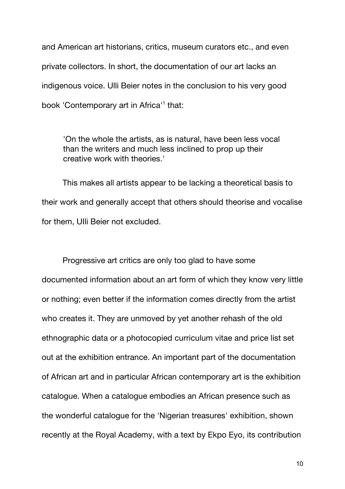and American art historians, critics, museum curators etc., and even private collectors. In short, the documentation of our art lacks an indigenous voice. Ulli Beier notes in the conclusion to his very good book 'Contemporary art in Africa<sup>'1</sup> that:

'On the whole the artists, as is natural, have been less vocal than the writers and much less inclined to prop up their creative work with theories.'

This makes all artists appear to be lacking a theoretical basis to their work and generally accept that others should theorise and vocalise for them, UIli Beier not excluded.

Progressive art critics are only too glad to have some documented information about an art form of which they know very little or nothing; even better if the information comes directly from the artist who creates it. They are unmoved by yet another rehash of the old ethnographic data or a photocopied curriculum vitae and price list set out at the exhibition entrance. An important part of the documentation of African art and in particular African contemporary art is the exhibition catalogue. When a catalogue embodies an African presence such as the wonderful catalogue for the 'Nigerian treasures' exhibition, shown recently at the Royal Academy, with a text by Ekpo Eyo, its contribution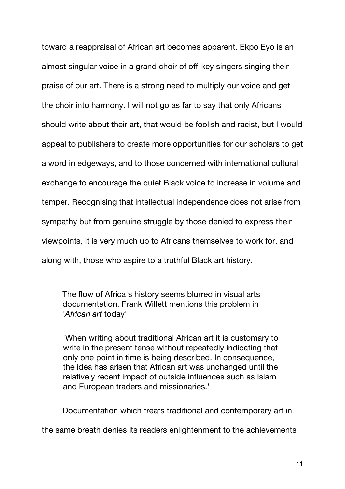toward a reappraisal of African art becomes apparent. Ekpo Eyo is an almost singular voice in a grand choir of off-key singers singing their praise of our art. There is a strong need to multiply our voice and get the choir into harmony. I will not go as far to say that only Africans should write about their art, that would be foolish and racist, but I would appeal to publishers to create more opportunities for our scholars to get a word in edgeways, and to those concerned with international cultural exchange to encourage the quiet Black voice to increase in volume and temper. Recognising that intellectual independence does not arise from sympathy but from genuine struggle by those denied to express their viewpoints, it is very much up to Africans themselves to work for, and along with, those who aspire to a truthful Black art history.

The flow of Africa's history seems blurred in visual arts documentation. Frank Willett mentions this problem in *'African art* today'

'When writing about traditional African art it is customary to write in the present tense without repeatedly indicating that only one point in time is being described. In consequence, the idea has arisen that African art was unchanged until the relatively recent impact of outside influences such as Islam and European traders and missionaries.'

Documentation which treats traditional and contemporary art in

the same breath denies its readers enlightenment to the achievements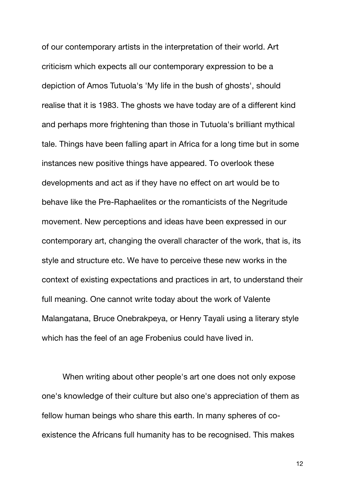of our contemporary artists in the interpretation of their world. Art criticism which expects all our contemporary expression to be a depiction of Amos Tutuola's 'My life in the bush of ghosts', should realise that it is 1983. The ghosts we have today are of a different kind and perhaps more frightening than those in Tutuola's brilliant mythical tale. Things have been falling apart in Africa for a long time but in some instances new positive things have appeared. To overlook these developments and act as if they have no effect on art would be to behave like the Pre-Raphaelites or the romanticists of the Negritude movement. New perceptions and ideas have been expressed in our contemporary art, changing the overall character of the work, that is, its style and structure etc. We have to perceive these new works in the context of existing expectations and practices in art, to understand their full meaning. One cannot write today about the work of Valente Malangatana, Bruce Onebrakpeya, or Henry Tayali using a literary style which has the feel of an age Frobenius could have lived in.

When writing about other people's art one does not only expose one's knowledge of their culture but also one's appreciation of them as fellow human beings who share this earth. In many spheres of coexistence the Africans full humanity has to be recognised. This makes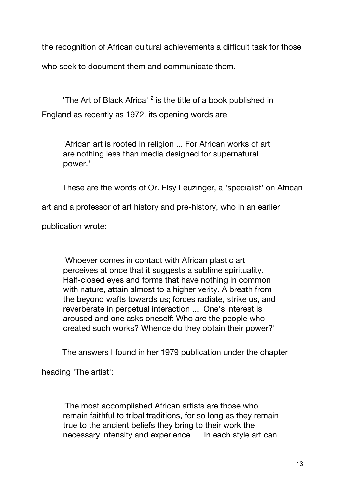the recognition of African cultural achievements a difficult task for those

who seek to document them and communicate them.

'The Art of Black Africa' <sup>2</sup> is the title of a book published in England as recently as 1972, its opening words are:

'African art is rooted in religion ... For African works of art are nothing less than media designed for supernatural power.'

These are the words of Or. Elsy Leuzinger, a 'specialist' on African

art and a professor of art history and pre-history, who in an earlier

publication wrote:

'Whoever comes in contact with African plastic art perceives at once that it suggests a sublime spirituality. Half-closed eyes and forms that have nothing in common with nature, attain almost to a higher verity. A breath from the beyond wafts towards us; forces radiate, strike us, and reverberate in perpetual interaction .... One's interest is aroused and one asks oneself: Who are the people who created such works? Whence do they obtain their power?'

The answers I found in her 1979 publication under the chapter

heading 'The artist':

'The most accomplished African artists are those who remain faithful to tribal traditions, for so long as they remain true to the ancient beliefs they bring to their work the necessary intensity and experience .... In each style art can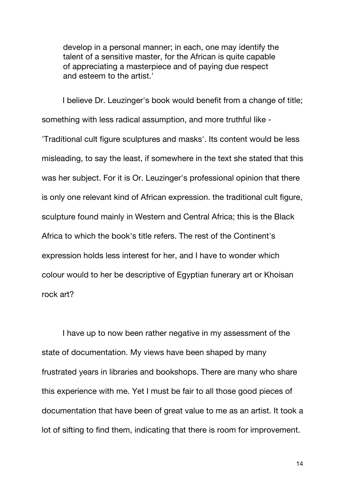develop in a personal manner; in each, one may identify the talent of a sensitive master, for the African is quite capable of appreciating a masterpiece and of paying due respect and esteem to the artist.'

I believe Dr. Leuzinger's book would benefit from a change of title; something with less radical assumption, and more truthful like -

'Traditional cult figure sculptures and masks'. Its content would be less misleading, to say the least, if somewhere in the text she stated that this was her subject. For it is Or. Leuzinger's professional opinion that there is only one relevant kind of African expression. the traditional cult figure, sculpture found mainly in Western and Central Africa; this is the Black Africa to which the book's title refers. The rest of the Continent's expression holds less interest for her, and I have to wonder which colour would to her be descriptive of Egyptian funerary art or Khoisan rock art?

I have up to now been rather negative in my assessment of the state of documentation. My views have been shaped by many frustrated years in libraries and bookshops. There are many who share this experience with me. Yet I must be fair to all those good pieces of documentation that have been of great value to me as an artist. It took a lot of sifting to find them, indicating that there is room for improvement.